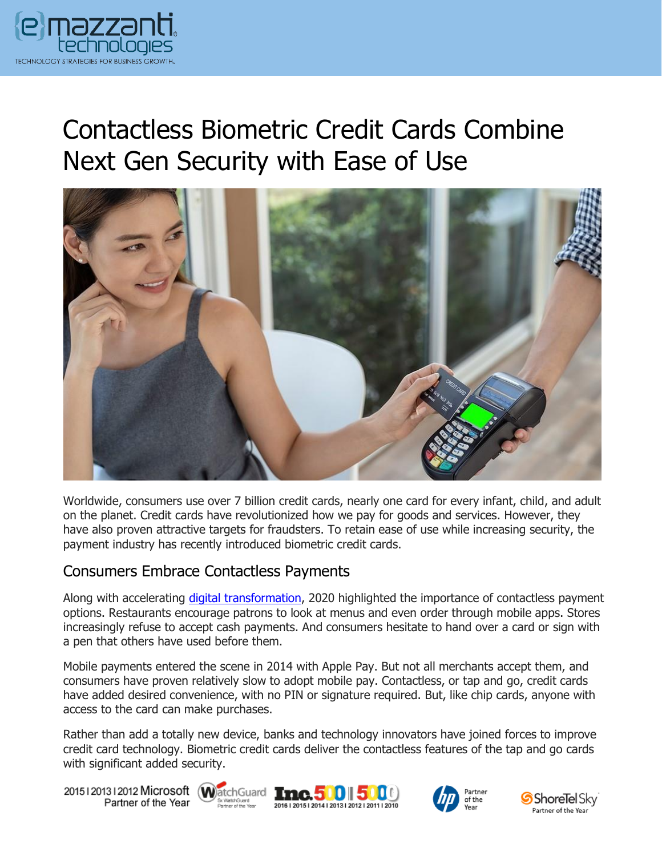

# Contactless Biometric Credit Cards Combine Next Gen Security with Ease of Use



Worldwide, consumers use over 7 billion credit cards, nearly one card for every infant, child, and adult on the planet. Credit cards have revolutionized how we pay for goods and services. However, they have also proven attractive targets for fraudsters. To retain ease of use while increasing security, the payment industry has recently introduced biometric credit cards.

### Consumers Embrace Contactless Payments

Along with accelerating [digital transformation,](https://messagingarchitects.com/covid-19-digital-transformation/) 2020 highlighted the importance of contactless payment options. Restaurants encourage patrons to look at menus and even order through mobile apps. Stores increasingly refuse to accept cash payments. And consumers hesitate to hand over a card or sign with a pen that others have used before them.

Mobile payments entered the scene in 2014 with Apple Pay. But not all merchants accept them, and consumers have proven relatively slow to adopt mobile pay. Contactless, or tap and go, credit cards have added desired convenience, with no PIN or signature required. But, like chip cards, anyone with access to the card can make purchases.

Rather than add a totally new device, banks and technology innovators have joined forces to improve credit card technology. Biometric credit cards deliver the contactless features of the tap and go cards with significant added security.

20151201312012 Microsoft WatchGuard Tnc. 500 500 Partner of the Year







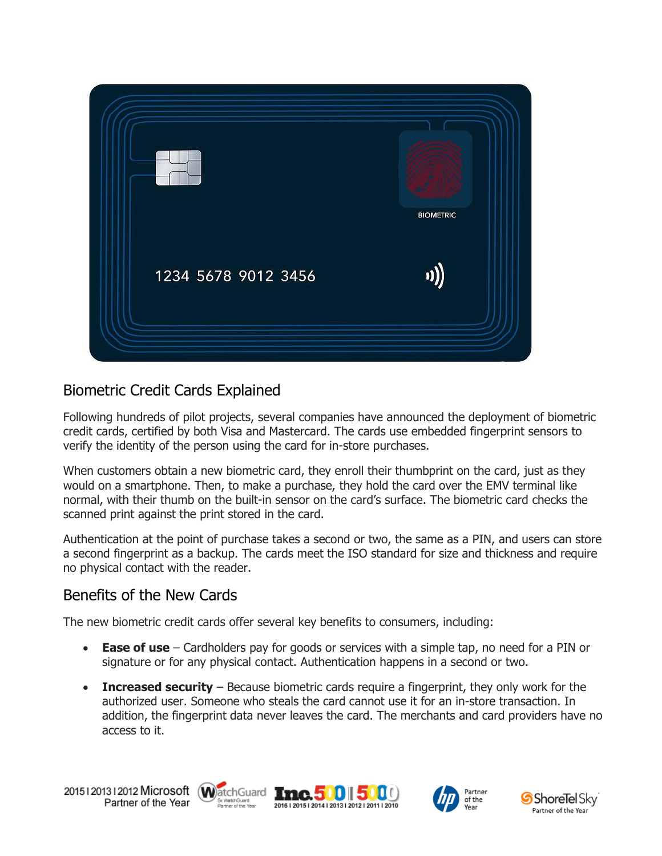

## Biometric Credit Cards Explained

Following hundreds of pilot projects, several companies have announced the deployment of biometric credit cards, certified by both Visa and Mastercard. The cards use embedded fingerprint sensors to verify the identity of the person using the card for in-store purchases.

When customers obtain a new biometric card, they enroll their thumbprint on the card, just as they would on a smartphone. Then, to make a purchase, they hold the card over the EMV terminal like normal, with their thumb on the built-in sensor on the card's surface. The biometric card checks the scanned print against the print stored in the card.

Authentication at the point of purchase takes a second or two, the same as a PIN, and users can store a second fingerprint as a backup. The cards meet the ISO standard for size and thickness and require no physical contact with the reader.

## Benefits of the New Cards

The new biometric credit cards offer several key benefits to consumers, including:

- **Ease of use** Cardholders pay for goods or services with a simple tap, no need for a PIN or signature or for any physical contact. Authentication happens in a second or two.
- **Increased security** Because biometric cards require a fingerprint, they only work for the authorized user. Someone who steals the card cannot use it for an in-store transaction. In addition, the fingerprint data never leaves the card. The merchants and card providers have no access to it.